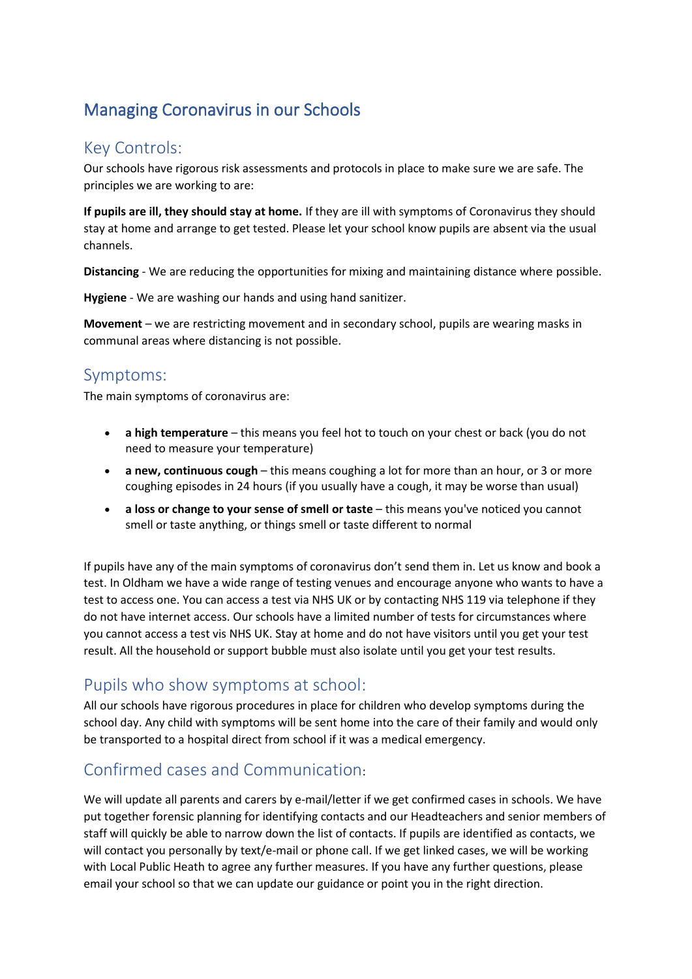# Managing Coronavirus in our Schools

### Key Controls:

Our schools have rigorous risk assessments and protocols in place to make sure we are safe. The principles we are working to are:

**If pupils are ill, they should stay at home.** If they are ill with symptoms of Coronavirus they should stay at home and arrange to get tested. Please let your school know pupils are absent via the usual channels.

**Distancing** - We are reducing the opportunities for mixing and maintaining distance where possible.

**Hygiene** - We are washing our hands and using hand sanitizer.

**Movement** – we are restricting movement and in secondary school, pupils are wearing masks in communal areas where distancing is not possible.

#### Symptoms:

The main symptoms of coronavirus are:

- **a high temperature** this means you feel hot to touch on your chest or back (you do not need to measure your temperature)
- **a new, continuous cough** this means coughing a lot for more than an hour, or 3 or more coughing episodes in 24 hours (if you usually have a cough, it may be worse than usual)
- **a loss or change to your sense of smell or taste** this means you've noticed you cannot smell or taste anything, or things smell or taste different to normal

If pupils have any of the main symptoms of coronavirus don't send them in. Let us know and book a test. In Oldham we have a wide range of testing venues and encourage anyone who wants to have a test to access one. You can access a test via NHS UK or by contacting NHS 119 via telephone if they do not have internet access. Our schools have a limited number of tests for circumstances where you cannot access a test vis NHS UK. Stay at home and do not have visitors until you get your test result. All the household or support bubble must also isolate until you get your test results.

#### Pupils who show symptoms at school:

All our schools have rigorous procedures in place for children who develop symptoms during the school day. Any child with symptoms will be sent home into the care of their family and would only be transported to a hospital direct from school if it was a medical emergency.

### Confirmed cases and Communication:

We will update all parents and carers by e-mail/letter if we get confirmed cases in schools. We have put together forensic planning for identifying contacts and our Headteachers and senior members of staff will quickly be able to narrow down the list of contacts. If pupils are identified as contacts, we will contact you personally by text/e-mail or phone call. If we get linked cases, we will be working with Local Public Heath to agree any further measures. If you have any further questions, please email your school so that we can update our guidance or point you in the right direction.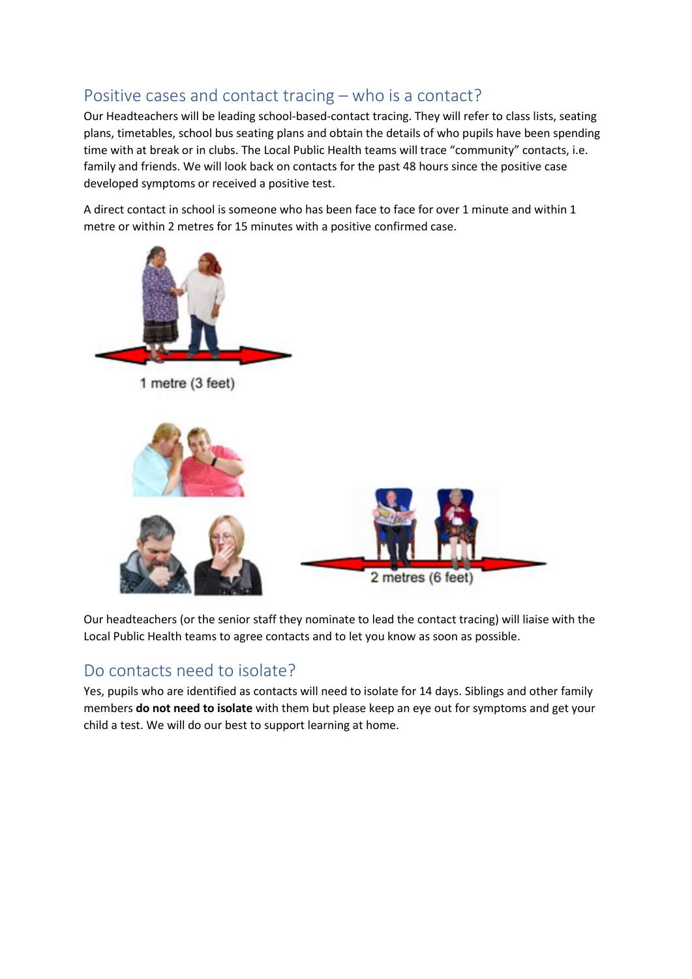## Positive cases and contact tracing – who is a contact?

Our Headteachers will be leading school-based-contact tracing. They will refer to class lists, seating plans, timetables, school bus seating plans and obtain the details of who pupils have been spending time with at break or in clubs. The Local Public Health teams will trace "community" contacts, i.e. family and friends. We will look back on contacts for the past 48 hours since the positive case developed symptoms or received a positive test.

A direct contact in school is someone who has been face to face for over 1 minute and within 1 metre or within 2 metres for 15 minutes with a positive confirmed case.



Our headteachers (or the senior staff they nominate to lead the contact tracing) will liaise with the Local Public Health teams to agree contacts and to let you know as soon as possible.

### Do contacts need to isolate?

Yes, pupils who are identified as contacts will need to isolate for 14 days. Siblings and other family members **do not need to isolate** with them but please keep an eye out for symptoms and get your child a test. We will do our best to support learning at home.